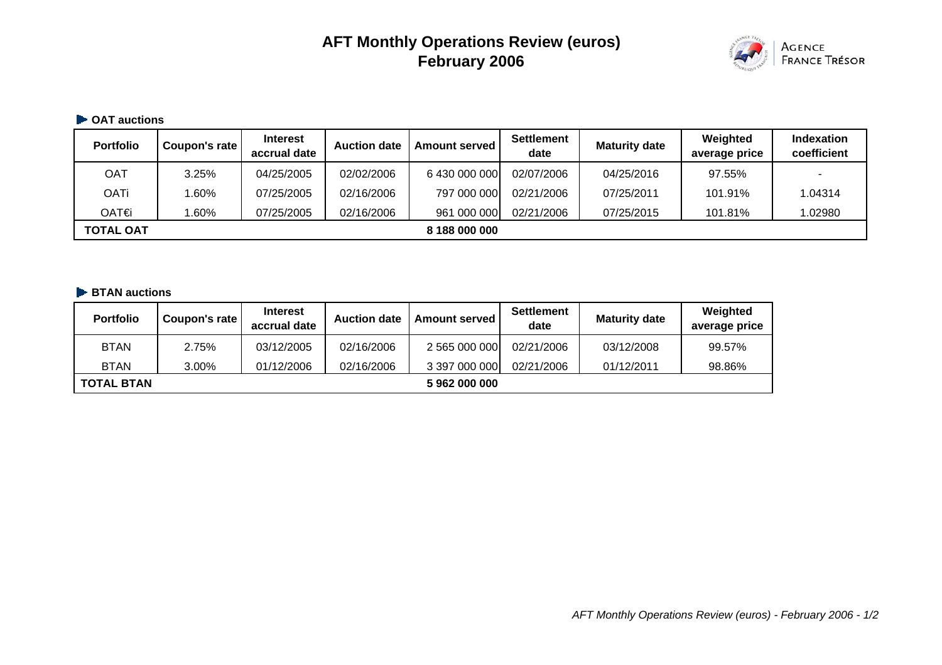# **AFT Monthly Operations Review (euros) February 2006**



#### **OAT auctions**

| <b>Portfolio</b> | Coupon's rate | <b>Interest</b><br>accrual date | <b>Auction date</b> | <b>Amount served</b> | <b>Settlement</b><br>date | <b>Maturity date</b> | Weighted<br>average price | <b>Indexation</b><br>coefficient |
|------------------|---------------|---------------------------------|---------------------|----------------------|---------------------------|----------------------|---------------------------|----------------------------------|
| OAT              | 3.25%         | 04/25/2005                      | 02/02/2006          | 6 430 000 000        | 02/07/2006                | 04/25/2016           | 97.55%                    | -                                |
| OATi             | $.60\%$       | 07/25/2005                      | 02/16/2006          | 797 000 000          | 02/21/2006                | 07/25/2011           | 101.91%                   | 1.04314                          |
| OAT€i            | .60%          | 07/25/2005                      | 02/16/2006          | 961 000 000          | 02/21/2006                | 07/25/2015           | 101.81%                   | 1.02980                          |
| <b>TOTAL OAT</b> |               |                                 |                     | 8 188 000 000        |                           |                      |                           |                                  |

#### **BTAN auctions**

| <b>Portfolio</b>  | Coupon's rate | <b>Interest</b><br>accrual date | <b>Auction date</b> | <b>Amount served</b> | <b>Settlement</b><br>date | <b>Maturity date</b> | Weighted<br>average price |
|-------------------|---------------|---------------------------------|---------------------|----------------------|---------------------------|----------------------|---------------------------|
| <b>BTAN</b>       | 2.75%         | 03/12/2005                      | 02/16/2006          | 2 565 000 000        | 02/21/2006                | 03/12/2008           | 99.57%                    |
| <b>BTAN</b>       | 3.00%         | 01/12/2006                      | 02/16/2006          | 3 397 000 000        | 02/21/2006                | 01/12/2011           | 98.86%                    |
| <b>TOTAL BTAN</b> |               |                                 |                     | 5 962 000 000        |                           |                      |                           |